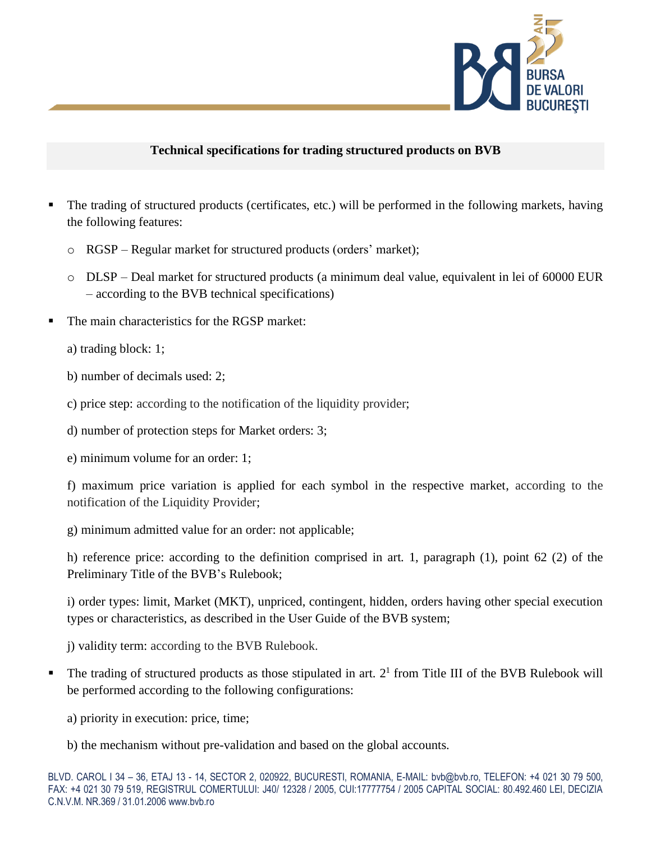

### **Technical specifications for trading structured products on BVB**

- The trading of structured products (certificates, etc.) will be performed in the following markets, having the following features:
	- o RGSP Regular market for structured products (orders' market);
	- o DLSP Deal market for structured products (a minimum deal value, equivalent in lei of 60000 EUR – according to the BVB technical specifications)
- The main characteristics for the RGSP market:

a) trading block: 1;

- b) number of decimals used: 2;
- c) price step: according to the notification of the liquidity provider;
- d) number of protection steps for Market orders: 3;
- e) minimum volume for an order: 1;

f) maximum price variation is applied for each symbol in the respective market, according to the notification of the Liquidity Provider;

g) minimum admitted value for an order: not applicable;

h) reference price: according to the definition comprised in art. 1, paragraph (1), point 62 (2) of the Preliminary Title of the BVB's Rulebook;

i) order types: limit, Market (MKT), unpriced, contingent, hidden, orders having other special execution types or characteristics, as described in the User Guide of the BVB system;

j) validity term: according to the BVB Rulebook.

- $\blacksquare$  The trading of structured products as those stipulated in art.  $2^1$  from Title III of the BVB Rulebook will be performed according to the following configurations:
	- a) priority in execution: price, time;
	- b) the mechanism without pre-validation and based on the global accounts.